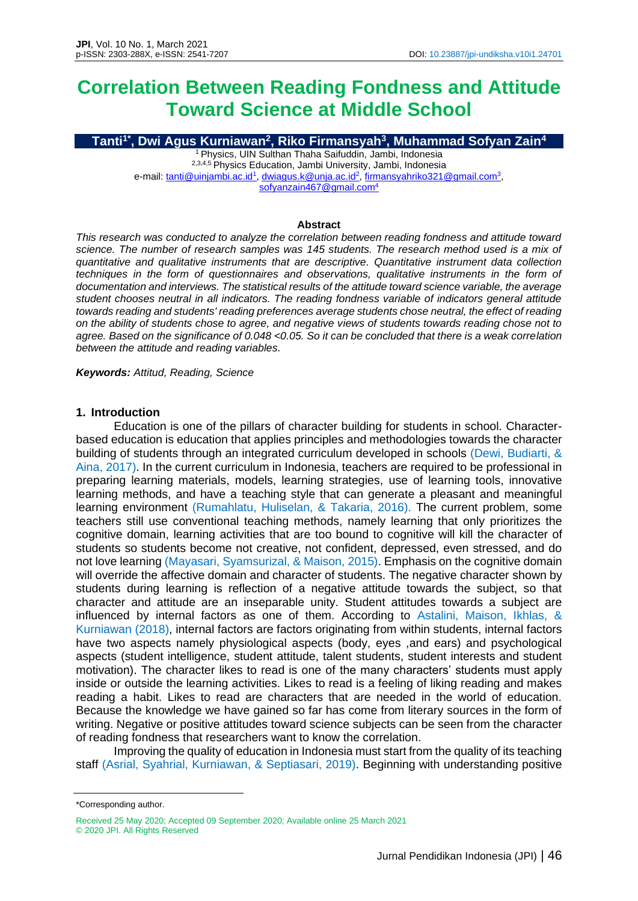# **Correlation Between Reading Fondness and Attitude Toward Science at Middle School**

**Tanti1\* , Dwi Agus Kurniawan<sup>2</sup> , Riko Firmansyah<sup>3</sup> , Muhammad Sofyan Zain<sup>4</sup>** <sup>1</sup> Physics, UIN Sulthan Thaha Saifuddin, Jambi, Indonesia <sup>2,3,4,5</sup> Physics Education, Jambi University, Jambi, Indonesia e-mail: <u>tanti@uinjambi.ac.id<sup>1</sup>, [dwiagus.k@unja.ac.id](mailto:dwiagus.k@unja.ac.id)<sup>2</sup>, [firmansyahriko321@gmail.com](mailto:firmansyahriko321@gmail.com)<sup>3</sup>,</u>

[sofyanzain467@gmail.com](mailto:sofyanzain467@gmail.com)<sup>4</sup>

#### **Abstract**

*This research was conducted to analyze the correlation between reading fondness and attitude toward science. The number of research samples was 145 students. The research method used is a mix of quantitative and qualitative instruments that are descriptive. Quantitative instrument data collection techniques in the form of questionnaires and observations, qualitative instruments in the form of documentation and interviews. The statistical results of the attitude toward science variable, the average student chooses neutral in all indicators. The reading fondness variable of indicators general attitude towards reading and students' reading preferences average students chose neutral, the effect of reading on the ability of students chose to agree, and negative views of students towards reading chose not to agree. Based on the significance of 0.048 <0.05. So it can be concluded that there is a weak correlation between the attitude and reading variables.*

*Keywords: Attitud, Reading, Science*

#### **1. Introduction**

Education is one of the pillars of character building for students in school. Characterbased education is education that applies principles and methodologies towards the character building of students through an integrated curriculum developed in schools (Dewi, Budiarti, & Aina, 2017). In the current curriculum in Indonesia, teachers are required to be professional in preparing learning materials, models, learning strategies, use of learning tools, innovative learning methods, and have a teaching style that can generate a pleasant and meaningful learning environment (Rumahlatu, Huliselan, & Takaria, 2016). The current problem, some teachers still use conventional teaching methods, namely learning that only prioritizes the cognitive domain, learning activities that are too bound to cognitive will kill the character of students so students become not creative, not confident, depressed, even stressed, and do not love learning (Mayasari, Syamsurizal, & Maison, 2015). Emphasis on the cognitive domain will override the affective domain and character of students. The negative character shown by students during learning is reflection of a negative attitude towards the subject, so that character and attitude are an inseparable unity. Student attitudes towards a subject are influenced by internal factors as one of them. According to Astalini, Maison, Ikhlas, & Kurniawan (2018), internal factors are factors originating from within students, internal factors have two aspects namely physiological aspects (body, eyes ,and ears) and psychological aspects (student intelligence, student attitude, talent students, student interests and student motivation). The character likes to read is one of the many characters' students must apply inside or outside the learning activities. Likes to read is a feeling of liking reading and makes reading a habit. Likes to read are characters that are needed in the world of education. Because the knowledge we have gained so far has come from literary sources in the form of writing. Negative or positive attitudes toward science subjects can be seen from the character of reading fondness that researchers want to know the correlation.

Improving the quality of education in Indonesia must start from the quality of its teaching staff (Asrial, Syahrial, Kurniawan, & Septiasari, 2019). Beginning with understanding positive

<sup>\*</sup>Corresponding author.

Received 25 May 2020; Accepted 09 September 2020; Available online 25 March 2021 © 2020 JPI. All Rights Reserved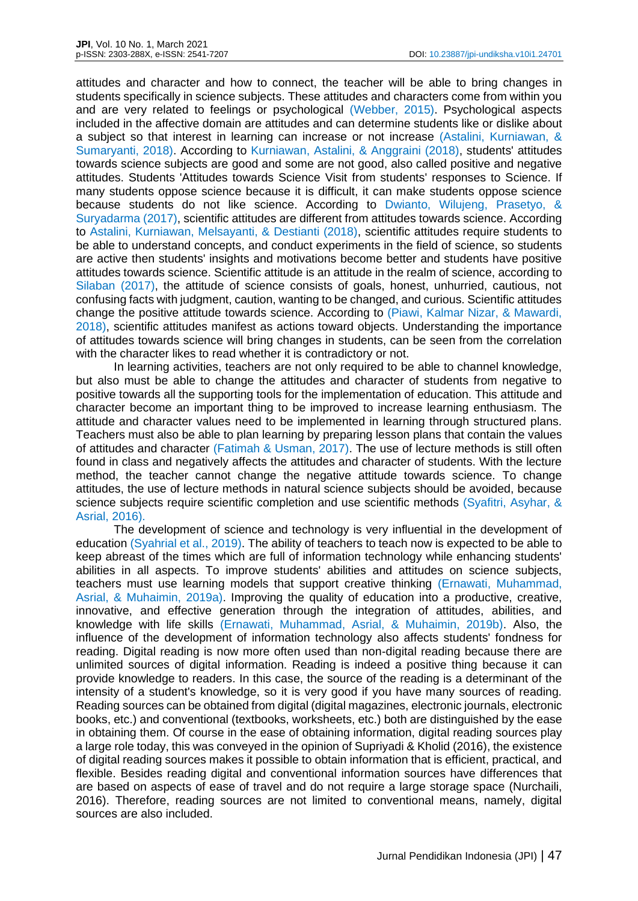attitudes and character and how to connect, the teacher will be able to bring changes in students specifically in science subjects. These attitudes and characters come from within you and are very related to feelings or psychological (Webber, 2015). Psychological aspects included in the affective domain are attitudes and can determine students like or dislike about a subject so that interest in learning can increase or not increase (Astalini, Kurniawan, & Sumaryanti, 2018). According to Kurniawan, Astalini, & Anggraini (2018), students' attitudes towards science subjects are good and some are not good, also called positive and negative attitudes. Students 'Attitudes towards Science Visit from students' responses to Science. If many students oppose science because it is difficult, it can make students oppose science because students do not like science. According to Dwianto, Wilujeng, Prasetyo, & Suryadarma (2017), scientific attitudes are different from attitudes towards science. According to Astalini, Kurniawan, Melsayanti, & Destianti (2018), scientific attitudes require students to be able to understand concepts, and conduct experiments in the field of science, so students are active then students' insights and motivations become better and students have positive attitudes towards science. Scientific attitude is an attitude in the realm of science, according to Silaban (2017), the attitude of science consists of goals, honest, unhurried, cautious, not confusing facts with judgment, caution, wanting to be changed, and curious. Scientific attitudes change the positive attitude towards science. According to (Piawi, Kalmar Nizar, & Mawardi, 2018), scientific attitudes manifest as actions toward objects. Understanding the importance of attitudes towards science will bring changes in students, can be seen from the correlation with the character likes to read whether it is contradictory or not.

In learning activities, teachers are not only required to be able to channel knowledge, but also must be able to change the attitudes and character of students from negative to positive towards all the supporting tools for the implementation of education. This attitude and character become an important thing to be improved to increase learning enthusiasm. The attitude and character values need to be implemented in learning through structured plans. Teachers must also be able to plan learning by preparing lesson plans that contain the values of attitudes and character (Fatimah & Usman, 2017). The use of lecture methods is still often found in class and negatively affects the attitudes and character of students. With the lecture method, the teacher cannot change the negative attitude towards science. To change attitudes, the use of lecture methods in natural science subjects should be avoided, because science subjects require scientific completion and use scientific methods (Syafitri, Asyhar, & Asrial, 2016).

The development of science and technology is very influential in the development of education (Syahrial et al., 2019). The ability of teachers to teach now is expected to be able to keep abreast of the times which are full of information technology while enhancing students' abilities in all aspects. To improve students' abilities and attitudes on science subjects, teachers must use learning models that support creative thinking (Ernawati, Muhammad, Asrial, & Muhaimin, 2019a). Improving the quality of education into a productive, creative, innovative, and effective generation through the integration of attitudes, abilities, and knowledge with life skills (Ernawati, Muhammad, Asrial, & Muhaimin, 2019b). Also, the influence of the development of information technology also affects students' fondness for reading. Digital reading is now more often used than non-digital reading because there are unlimited sources of digital information. Reading is indeed a positive thing because it can provide knowledge to readers. In this case, the source of the reading is a determinant of the intensity of a student's knowledge, so it is very good if you have many sources of reading. Reading sources can be obtained from digital (digital magazines, electronic journals, electronic books, etc.) and conventional (textbooks, worksheets, etc.) both are distinguished by the ease in obtaining them. Of course in the ease of obtaining information, digital reading sources play a large role today, this was conveyed in the opinion of Supriyadi & Kholid (2016), the existence of digital reading sources makes it possible to obtain information that is efficient, practical, and flexible. Besides reading digital and conventional information sources have differences that are based on aspects of ease of travel and do not require a large storage space (Nurchaili, 2016). Therefore, reading sources are not limited to conventional means, namely, digital sources are also included.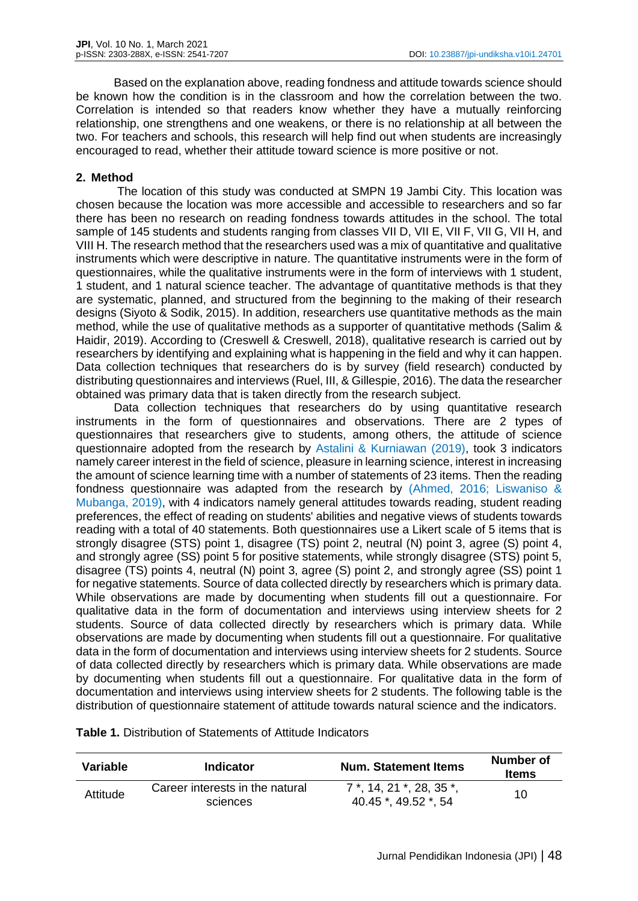Based on the explanation above, reading fondness and attitude towards science should be known how the condition is in the classroom and how the correlation between the two. Correlation is intended so that readers know whether they have a mutually reinforcing relationship, one strengthens and one weakens, or there is no relationship at all between the two. For teachers and schools, this research will help find out when students are increasingly encouraged to read, whether their attitude toward science is more positive or not.

# **2. Method**

The location of this study was conducted at SMPN 19 Jambi City. This location was chosen because the location was more accessible and accessible to researchers and so far there has been no research on reading fondness towards attitudes in the school. The total sample of 145 students and students ranging from classes VII D, VII E, VII F, VII G, VII H, and VIII H. The research method that the researchers used was a mix of quantitative and qualitative instruments which were descriptive in nature. The quantitative instruments were in the form of questionnaires, while the qualitative instruments were in the form of interviews with 1 student, 1 student, and 1 natural science teacher. The advantage of quantitative methods is that they are systematic, planned, and structured from the beginning to the making of their research designs (Siyoto & Sodik, 2015). In addition, researchers use quantitative methods as the main method, while the use of qualitative methods as a supporter of quantitative methods (Salim & Haidir, 2019). According to (Creswell & Creswell, 2018), qualitative research is carried out by researchers by identifying and explaining what is happening in the field and why it can happen. Data collection techniques that researchers do is by survey (field research) conducted by distributing questionnaires and interviews (Ruel, III, & Gillespie, 2016). The data the researcher obtained was primary data that is taken directly from the research subject.

Data collection techniques that researchers do by using quantitative research instruments in the form of questionnaires and observations. There are 2 types of questionnaires that researchers give to students, among others, the attitude of science questionnaire adopted from the research by Astalini & Kurniawan (2019), took 3 indicators namely career interest in the field of science, pleasure in learning science, interest in increasing the amount of science learning time with a number of statements of 23 items. Then the reading fondness questionnaire was adapted from the research by (Ahmed, 2016; Liswaniso & Mubanga, 2019), with 4 indicators namely general attitudes towards reading, student reading preferences, the effect of reading on students' abilities and negative views of students towards reading with a total of 40 statements. Both questionnaires use a Likert scale of 5 items that is strongly disagree (STS) point 1, disagree (TS) point 2, neutral (N) point 3, agree (S) point 4, and strongly agree (SS) point 5 for positive statements, while strongly disagree (STS) point 5, disagree (TS) points 4, neutral (N) point 3, agree (S) point 2, and strongly agree (SS) point 1 for negative statements. Source of data collected directly by researchers which is primary data. While observations are made by documenting when students fill out a questionnaire. For qualitative data in the form of documentation and interviews using interview sheets for 2 students. Source of data collected directly by researchers which is primary data. While observations are made by documenting when students fill out a questionnaire. For qualitative data in the form of documentation and interviews using interview sheets for 2 students. Source of data collected directly by researchers which is primary data. While observations are made by documenting when students fill out a questionnaire. For qualitative data in the form of documentation and interviews using interview sheets for 2 students. The following table is the distribution of questionnaire statement of attitude towards natural science and the indicators.

| Variable | Indicator                                   | <b>Num. Statement Items</b>                                 | Number of<br><b>Items</b> |
|----------|---------------------------------------------|-------------------------------------------------------------|---------------------------|
| Attitude | Career interests in the natural<br>sciences | $7^*$ , 14, 21, $*$ , 28, 35, $*$ ,<br>40.45 *, 49.52 *, 54 | 10                        |

## **Table 1.** Distribution of Statements of Attitude Indicators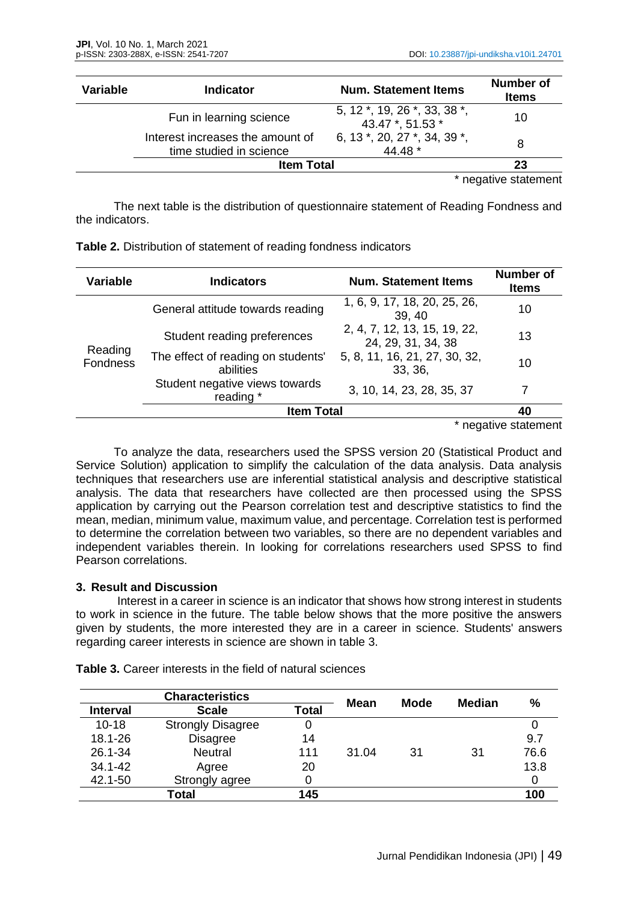| <b>Variable</b> | <b>Indicator</b>                                            | <b>Num. Statement Items</b>                      | <b>Number of</b><br><b>Items</b> |
|-----------------|-------------------------------------------------------------|--------------------------------------------------|----------------------------------|
|                 | Fun in learning science                                     | 5, 12 *, 19, 26 *, 33, 38 *,<br>43.47 *, 51.53 * | 10                               |
|                 | Interest increases the amount of<br>time studied in science | 6, 13 *, 20, 27 *, 34, 39 *.<br>44.48 *          | 8                                |
|                 | 23                                                          |                                                  |                                  |

\* negative statement

The next table is the distribution of questionnaire statement of Reading Fondness and the indicators.

| Table 2. Distribution of statement of reading fondness indicators |  |
|-------------------------------------------------------------------|--|
|-------------------------------------------------------------------|--|

| <b>Variable</b>     | <b>Indicators</b>                               | <b>Num. Statement Items</b>                        | <b>Number of</b><br><b>Items</b> |
|---------------------|-------------------------------------------------|----------------------------------------------------|----------------------------------|
| Reading<br>Fondness | General attitude towards reading                | 1, 6, 9, 17, 18, 20, 25, 26,<br>39, 40             | 10                               |
|                     | Student reading preferences                     | 2, 4, 7, 12, 13, 15, 19, 22,<br>24, 29, 31, 34, 38 | 13                               |
|                     | The effect of reading on students'<br>abilities | 5, 8, 11, 16, 21, 27, 30, 32,<br>33, 36,           | 10                               |
|                     | Student negative views towards<br>reading *     | 3, 10, 14, 23, 28, 35, 37                          |                                  |
|                     | <b>Item Total</b>                               | 40                                                 |                                  |

\* negative statement

To analyze the data, researchers used the SPSS version 20 (Statistical Product and Service Solution) application to simplify the calculation of the data analysis. Data analysis techniques that researchers use are inferential statistical analysis and descriptive statistical analysis. The data that researchers have collected are then processed using the SPSS application by carrying out the Pearson correlation test and descriptive statistics to find the mean, median, minimum value, maximum value, and percentage. Correlation test is performed to determine the correlation between two variables, so there are no dependent variables and independent variables therein. In looking for correlations researchers used SPSS to find Pearson correlations.

## **3. Result and Discussion**

Interest in a career in science is an indicator that shows how strong interest in students to work in science in the future. The table below shows that the more positive the answers given by students, the more interested they are in a career in science. Students' answers regarding career interests in science are shown in table 3.

| <b>Characteristics</b> |                          | Mean         | <b>Mode</b> |    | %             |      |
|------------------------|--------------------------|--------------|-------------|----|---------------|------|
| <b>Interval</b>        | <b>Scale</b>             | <b>Total</b> |             |    | <b>Median</b> |      |
| $10 - 18$              | <b>Strongly Disagree</b> | 0            |             |    |               |      |
| 18.1-26                | <b>Disagree</b>          | 14           |             |    |               | 9.7  |
| 26.1-34                | <b>Neutral</b>           | 111          | 31.04       | 31 | 31            | 76.6 |
| 34.1-42                | Agree                    | 20           |             |    |               | 13.8 |
| 42.1-50                | Strongly agree           | 0            |             |    |               |      |
|                        | Total                    | 145          |             |    |               | 100  |

**Table 3.** Career interests in the field of natural sciences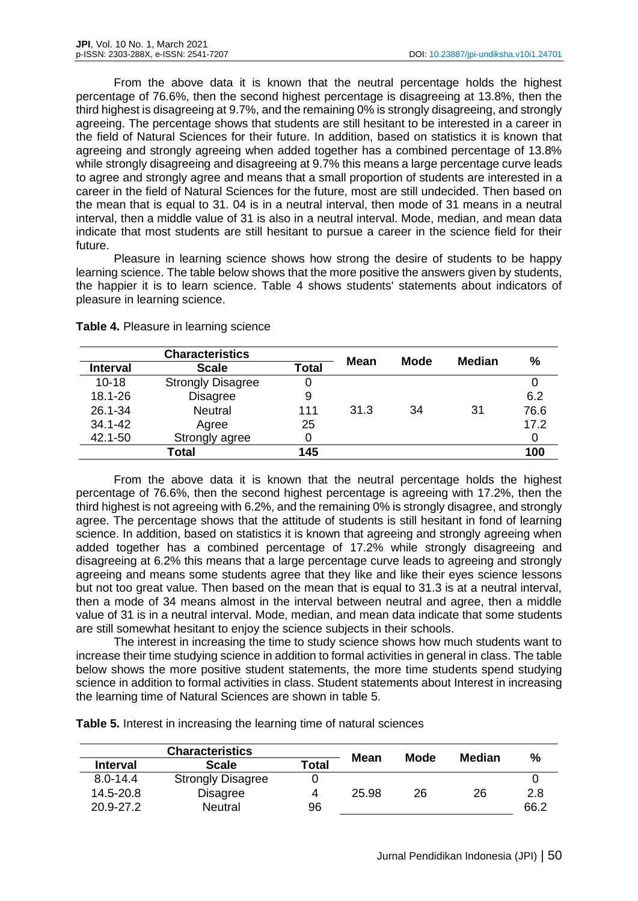From the above data it is known that the neutral percentage holds the highest percentage of 76.6%, then the second highest percentage is disagreeing at 13.8%, then the third highest is disagreeing at 9.7%, and the remaining 0% is strongly disagreeing, and strongly agreeing. The percentage shows that students are still hesitant to be interested in a career in the field of Natural Sciences for their future. In addition, based on statistics it is known that agreeing and strongly agreeing when added together has a combined percentage of 13.8% while strongly disagreeing and disagreeing at 9.7% this means a large percentage curve leads to agree and strongly agree and means that a small proportion of students are interested in a career in the field of Natural Sciences for the future, most are still undecided. Then based on the mean that is equal to 31. 04 is in a neutral interval, then mode of 31 means in a neutral interval, then a middle value of 31 is also in a neutral interval. Mode, median, and mean data indicate that most students are still hesitant to pursue a career in the science field for their future.

Pleasure in learning science shows how strong the desire of students to be happy learning science. The table below shows that the more positive the answers given by students, the happier it is to learn science. Table 4 shows students' statements about indicators of pleasure in learning science.

| <b>Characteristics</b> |                          | Mean         | <b>Mode</b> |    |               |      |
|------------------------|--------------------------|--------------|-------------|----|---------------|------|
| <b>Interval</b>        | <b>Scale</b>             | <b>Total</b> |             |    | <b>Median</b> | %    |
| $10 - 18$              | <b>Strongly Disagree</b> |              |             |    |               |      |
| 18.1-26                | <b>Disagree</b>          | 9            |             |    |               | 6.2  |
| 26.1-34                | <b>Neutral</b>           | 111          | 31.3        | 34 | 31            | 76.6 |
| 34.1-42                | Agree                    | 25           |             |    |               | 17.2 |
| 42.1-50                | Strongly agree           |              |             |    |               |      |
|                        | Total                    | 145          |             |    |               | 100  |

**Table 4.** Pleasure in learning science

From the above data it is known that the neutral percentage holds the highest percentage of 76.6%, then the second highest percentage is agreeing with 17.2%, then the third highest is not agreeing with 6.2%, and the remaining 0% is strongly disagree, and strongly agree. The percentage shows that the attitude of students is still hesitant in fond of learning science. In addition, based on statistics it is known that agreeing and strongly agreeing when added together has a combined percentage of 17.2% while strongly disagreeing and disagreeing at 6.2% this means that a large percentage curve leads to agreeing and strongly agreeing and means some students agree that they like and like their eyes science lessons but not too great value. Then based on the mean that is equal to 31.3 is at a neutral interval, then a mode of 34 means almost in the interval between neutral and agree, then a middle value of 31 is in a neutral interval. Mode, median, and mean data indicate that some students are still somewhat hesitant to enjoy the science subjects in their schools.

The interest in increasing the time to study science shows how much students want to increase their time studying science in addition to formal activities in general in class. The table below shows the more positive student statements, the more time students spend studying science in addition to formal activities in class. Student statements about Interest in increasing the learning time of Natural Sciences are shown in table 5.

| <b>Characteristics</b> |                          |              | Mean  | Mode |        |      |
|------------------------|--------------------------|--------------|-------|------|--------|------|
| <b>Interval</b>        | <b>Scale</b>             | <b>Total</b> |       |      | Median | ℅    |
| $8.0 - 14.4$           | <b>Strongly Disagree</b> |              |       |      |        |      |
| 14.5-20.8              | <b>Disagree</b>          |              | 25.98 | 26   | 26     | 2.8  |
| 20.9-27.2              | <b>Neutral</b>           | 96           |       |      |        | 66.2 |

**Table 5.** Interest in increasing the learning time of natural sciences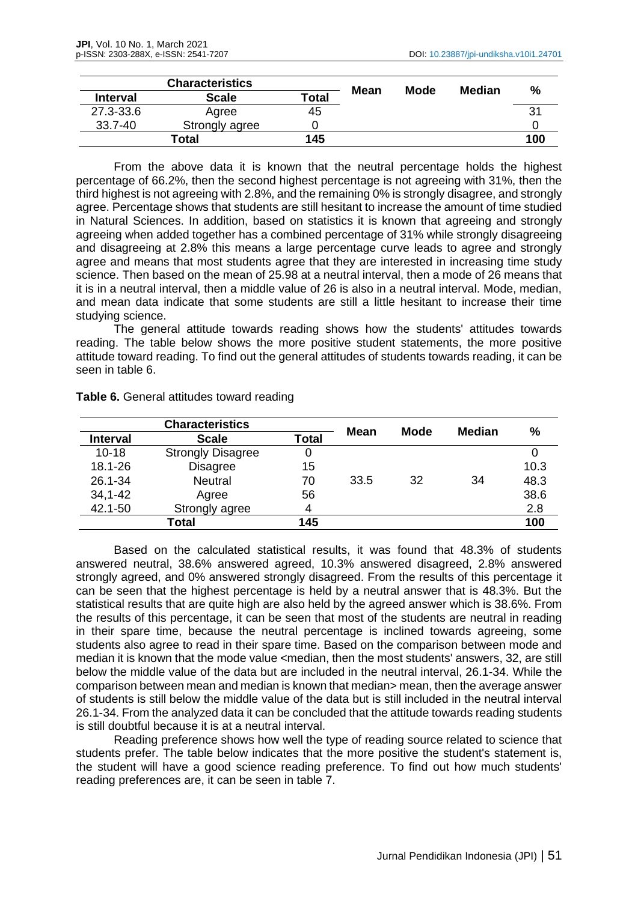| <b>Characteristics</b> |                | Mean         | Mode |  |        |     |
|------------------------|----------------|--------------|------|--|--------|-----|
| <b>Interval</b>        | <b>Scale</b>   | <b>Total</b> |      |  | Median | %   |
| 27.3-33.6              | Agree          | 45           |      |  |        | 3'  |
| 33.7-40                | Strongly agree |              |      |  |        |     |
|                        | Total          | 145          |      |  |        | 100 |

From the above data it is known that the neutral percentage holds the highest percentage of 66.2%, then the second highest percentage is not agreeing with 31%, then the third highest is not agreeing with 2.8%, and the remaining 0% is strongly disagree, and strongly agree. Percentage shows that students are still hesitant to increase the amount of time studied in Natural Sciences. In addition, based on statistics it is known that agreeing and strongly agreeing when added together has a combined percentage of 31% while strongly disagreeing and disagreeing at 2.8% this means a large percentage curve leads to agree and strongly agree and means that most students agree that they are interested in increasing time study science. Then based on the mean of 25.98 at a neutral interval, then a mode of 26 means that it is in a neutral interval, then a middle value of 26 is also in a neutral interval. Mode, median, and mean data indicate that some students are still a little hesitant to increase their time studying science.

The general attitude towards reading shows how the students' attitudes towards reading. The table below shows the more positive student statements, the more positive attitude toward reading. To find out the general attitudes of students towards reading, it can be seen in table 6.

| <b>Characteristics</b> |                          | <b>Mean</b>  | <b>Mode</b> |    | %             |      |
|------------------------|--------------------------|--------------|-------------|----|---------------|------|
| <b>Interval</b>        | <b>Scale</b>             | <b>Total</b> |             |    | <b>Median</b> |      |
| $10 - 18$              | <b>Strongly Disagree</b> | 0            |             |    |               |      |
| 18.1-26                | <b>Disagree</b>          | 15           |             |    |               | 10.3 |
| 26.1-34                | <b>Neutral</b>           | 70           | 33.5        | 32 | 34            | 48.3 |
| $34, 1 - 42$           | Agree                    | 56           |             |    |               | 38.6 |
| 42.1-50                | Strongly agree           | 4            |             |    |               | 2.8  |
|                        | Total                    | 145          |             |    |               | 100  |

**Table 6.** General attitudes toward reading

Based on the calculated statistical results, it was found that 48.3% of students answered neutral, 38.6% answered agreed, 10.3% answered disagreed, 2.8% answered strongly agreed, and 0% answered strongly disagreed. From the results of this percentage it can be seen that the highest percentage is held by a neutral answer that is 48.3%. But the statistical results that are quite high are also held by the agreed answer which is 38.6%. From the results of this percentage, it can be seen that most of the students are neutral in reading in their spare time, because the neutral percentage is inclined towards agreeing, some students also agree to read in their spare time. Based on the comparison between mode and median it is known that the mode value <median, then the most students' answers, 32, are still below the middle value of the data but are included in the neutral interval, 26.1-34. While the comparison between mean and median is known that median> mean, then the average answer of students is still below the middle value of the data but is still included in the neutral interval 26.1-34. From the analyzed data it can be concluded that the attitude towards reading students is still doubtful because it is at a neutral interval.

Reading preference shows how well the type of reading source related to science that students prefer. The table below indicates that the more positive the student's statement is, the student will have a good science reading preference. To find out how much students' reading preferences are, it can be seen in table 7.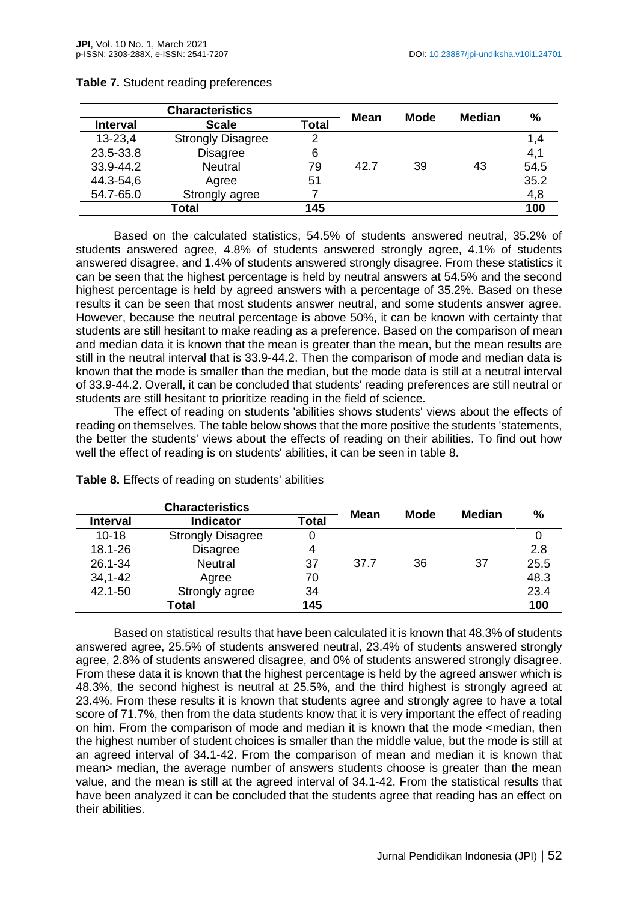| <b>Characteristics</b> |                          | Mean         | <b>Mode</b> | <b>Median</b> | $\%$ |      |
|------------------------|--------------------------|--------------|-------------|---------------|------|------|
| <b>Interval</b>        | <b>Scale</b>             | <b>Total</b> |             |               |      |      |
| $13 - 23,4$            | <b>Strongly Disagree</b> | 2            |             |               |      | 1,4  |
| 23.5-33.8              | <b>Disagree</b>          | 6            |             |               |      | 4,1  |
| 33.9-44.2              | <b>Neutral</b>           | 79           | 42.7        | 39            | 43   | 54.5 |
| 44.3-54,6              | Agree                    | 51           |             |               |      | 35.2 |
| 54.7-65.0              | Strongly agree           |              |             |               |      | 4,8  |
|                        | Total                    | 145          |             |               |      | 100  |

## **Table 7.** Student reading preferences

Based on the calculated statistics, 54.5% of students answered neutral, 35.2% of students answered agree, 4.8% of students answered strongly agree, 4.1% of students answered disagree, and 1.4% of students answered strongly disagree. From these statistics it can be seen that the highest percentage is held by neutral answers at 54.5% and the second highest percentage is held by agreed answers with a percentage of 35.2%. Based on these results it can be seen that most students answer neutral, and some students answer agree. However, because the neutral percentage is above 50%, it can be known with certainty that students are still hesitant to make reading as a preference. Based on the comparison of mean and median data it is known that the mean is greater than the mean, but the mean results are still in the neutral interval that is 33.9-44.2. Then the comparison of mode and median data is known that the mode is smaller than the median, but the mode data is still at a neutral interval of 33.9-44.2. Overall, it can be concluded that students' reading preferences are still neutral or students are still hesitant to prioritize reading in the field of science.

The effect of reading on students 'abilities shows students' views about the effects of reading on themselves. The table below shows that the more positive the students 'statements, the better the students' views about the effects of reading on their abilities. To find out how well the effect of reading is on students' abilities, it can be seen in table 8.

| <b>Characteristics</b> |                          | <b>Mean</b>  | <b>Mode</b> |    |               |      |
|------------------------|--------------------------|--------------|-------------|----|---------------|------|
| <b>Interval</b>        | <b>Indicator</b>         | <b>Total</b> |             |    | <b>Median</b> | %    |
| $10 - 18$              | <b>Strongly Disagree</b> | 0            |             |    |               |      |
| 18.1-26                | <b>Disagree</b>          | 4            |             |    |               | 2.8  |
| 26.1-34                | <b>Neutral</b>           | 37           | 37.7        | 36 | 37            | 25.5 |
| $34, 1 - 42$           | Agree                    | 70           |             |    |               | 48.3 |
| 42.1-50                | Strongly agree           | 34           |             |    |               | 23.4 |
|                        | Total                    | 145          |             |    |               | 100  |

Based on statistical results that have been calculated it is known that 48.3% of students answered agree, 25.5% of students answered neutral, 23.4% of students answered strongly agree, 2.8% of students answered disagree, and 0% of students answered strongly disagree. From these data it is known that the highest percentage is held by the agreed answer which is 48.3%, the second highest is neutral at 25.5%, and the third highest is strongly agreed at 23.4%. From these results it is known that students agree and strongly agree to have a total score of 71.7%, then from the data students know that it is very important the effect of reading on him. From the comparison of mode and median it is known that the mode <median, then the highest number of student choices is smaller than the middle value, but the mode is still at an agreed interval of 34.1-42. From the comparison of mean and median it is known that mean> median, the average number of answers students choose is greater than the mean value, and the mean is still at the agreed interval of 34.1-42. From the statistical results that have been analyzed it can be concluded that the students agree that reading has an effect on their abilities.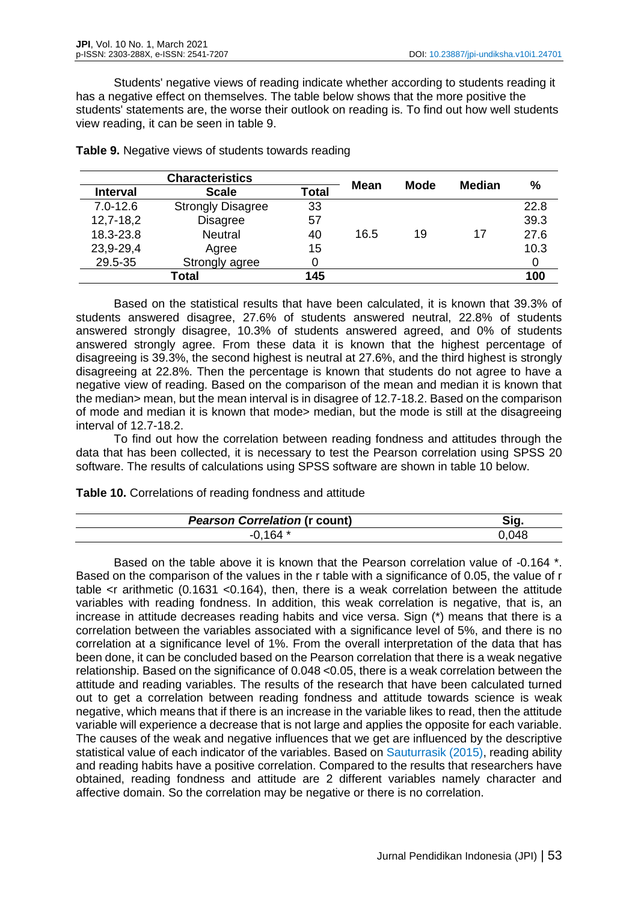Students' negative views of reading indicate whether according to students reading it has a negative effect on themselves. The table below shows that the more positive the students' statements are, the worse their outlook on reading is. To find out how well students view reading, it can be seen in table 9.

| <b>Characteristics</b> |                          |              | Mean | <b>Mode</b> | <b>Median</b> | %    |
|------------------------|--------------------------|--------------|------|-------------|---------------|------|
| <b>Interval</b>        | <b>Scale</b>             | <b>Total</b> |      |             |               |      |
| $7.0 - 12.6$           | <b>Strongly Disagree</b> | 33           |      |             |               | 22.8 |
| $12,7-18,2$            | <b>Disagree</b>          | 57           |      |             |               | 39.3 |
| 18.3-23.8              | <b>Neutral</b>           | 40           | 16.5 | 19          | 17            | 27.6 |
| 23,9-29,4              | Agree                    | 15           |      |             |               | 10.3 |
| 29.5-35                | Strongly agree           |              |      |             |               |      |
| Total                  |                          | 145          |      |             |               | 100  |

**Table 9.** Negative views of students towards reading

Based on the statistical results that have been calculated, it is known that 39.3% of students answered disagree, 27.6% of students answered neutral, 22.8% of students answered strongly disagree, 10.3% of students answered agreed, and 0% of students answered strongly agree. From these data it is known that the highest percentage of disagreeing is 39.3%, the second highest is neutral at 27.6%, and the third highest is strongly disagreeing at 22.8%. Then the percentage is known that students do not agree to have a negative view of reading. Based on the comparison of the mean and median it is known that the median> mean, but the mean interval is in disagree of 12.7-18.2. Based on the comparison of mode and median it is known that mode> median, but the mode is still at the disagreeing interval of 12.7-18.2.

To find out how the correlation between reading fondness and attitudes through the data that has been collected, it is necessary to test the Pearson correlation using SPSS 20 software. The results of calculations using SPSS software are shown in table 10 below.

**Table 10.** Correlations of reading fondness and attitude

| <b>Pearson Correlation (r count)</b> | Ñα. |
|--------------------------------------|-----|
| C <sub>A</sub>                       | ו∆ך |

Based on the table above it is known that the Pearson correlation value of -0.164  $*$ . Based on the comparison of the values in the r table with a significance of 0.05, the value of r table <r arithmetic (0.1631 <0.164), then, there is a weak correlation between the attitude variables with reading fondness. In addition, this weak correlation is negative, that is, an increase in attitude decreases reading habits and vice versa. Sign (\*) means that there is a correlation between the variables associated with a significance level of 5%, and there is no correlation at a significance level of 1%. From the overall interpretation of the data that has been done, it can be concluded based on the Pearson correlation that there is a weak negative relationship. Based on the significance of 0.048 <0.05, there is a weak correlation between the attitude and reading variables. The results of the research that have been calculated turned out to get a correlation between reading fondness and attitude towards science is weak negative, which means that if there is an increase in the variable likes to read, then the attitude variable will experience a decrease that is not large and applies the opposite for each variable. The causes of the weak and negative influences that we get are influenced by the descriptive statistical value of each indicator of the variables. Based on Sauturrasik (2015), reading ability and reading habits have a positive correlation. Compared to the results that researchers have obtained, reading fondness and attitude are 2 different variables namely character and affective domain. So the correlation may be negative or there is no correlation.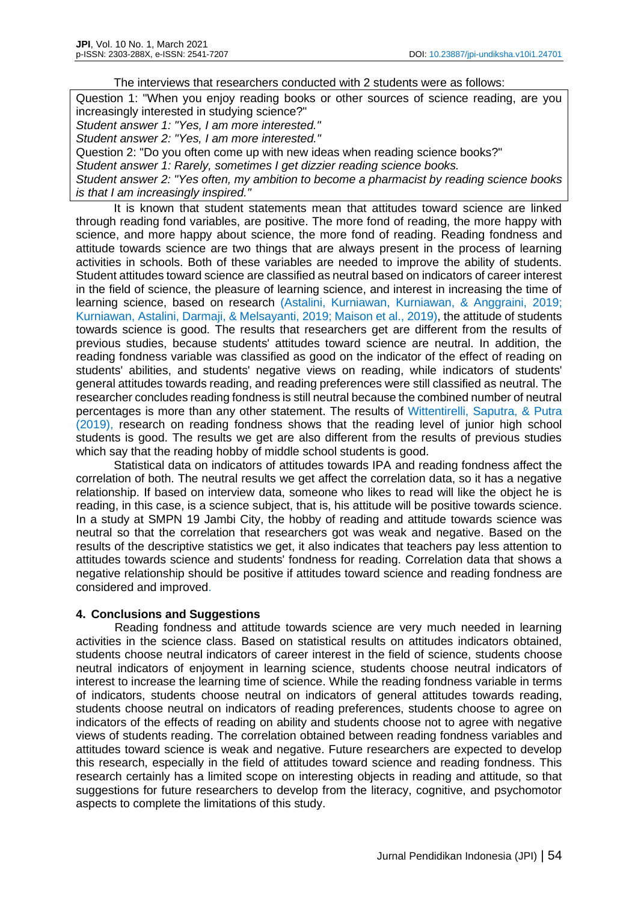#### The interviews that researchers conducted with 2 students were as follows:

Question 1: "When you enjoy reading books or other sources of science reading, are you increasingly interested in studying science?" *Student answer 1: "Yes, I am more interested." Student answer 2: "Yes, I am more interested."* Question 2: "Do you often come up with new ideas when reading science books?" *Student answer 1: Rarely, sometimes I get dizzier reading science books. Student answer 2: "Yes often, my ambition to become a pharmacist by reading science books is that I am increasingly inspired."*

It is known that student statements mean that attitudes toward science are linked through reading fond variables, are positive. The more fond of reading, the more happy with science, and more happy about science, the more fond of reading. Reading fondness and attitude towards science are two things that are always present in the process of learning activities in schools. Both of these variables are needed to improve the ability of students. Student attitudes toward science are classified as neutral based on indicators of career interest in the field of science, the pleasure of learning science, and interest in increasing the time of learning science, based on research (Astalini, Kurniawan, Kurniawan, & Anggraini, 2019; Kurniawan, Astalini, Darmaji, & Melsayanti, 2019; Maison et al., 2019), the attitude of students towards science is good. The results that researchers get are different from the results of previous studies, because students' attitudes toward science are neutral. In addition, the reading fondness variable was classified as good on the indicator of the effect of reading on students' abilities, and students' negative views on reading, while indicators of students' general attitudes towards reading, and reading preferences were still classified as neutral. The researcher concludes reading fondness is still neutral because the combined number of neutral percentages is more than any other statement. The results of Wittentirelli, Saputra, & Putra (2019), research on reading fondness shows that the reading level of junior high school students is good. The results we get are also different from the results of previous studies which say that the reading hobby of middle school students is good.

Statistical data on indicators of attitudes towards IPA and reading fondness affect the correlation of both. The neutral results we get affect the correlation data, so it has a negative relationship. If based on interview data, someone who likes to read will like the object he is reading, in this case, is a science subject, that is, his attitude will be positive towards science. In a study at SMPN 19 Jambi City, the hobby of reading and attitude towards science was neutral so that the correlation that researchers got was weak and negative. Based on the results of the descriptive statistics we get, it also indicates that teachers pay less attention to attitudes towards science and students' fondness for reading. Correlation data that shows a negative relationship should be positive if attitudes toward science and reading fondness are considered and improved.

# **4. Conclusions and Suggestions**

Reading fondness and attitude towards science are very much needed in learning activities in the science class. Based on statistical results on attitudes indicators obtained, students choose neutral indicators of career interest in the field of science, students choose neutral indicators of enjoyment in learning science, students choose neutral indicators of interest to increase the learning time of science. While the reading fondness variable in terms of indicators, students choose neutral on indicators of general attitudes towards reading, students choose neutral on indicators of reading preferences, students choose to agree on indicators of the effects of reading on ability and students choose not to agree with negative views of students reading. The correlation obtained between reading fondness variables and attitudes toward science is weak and negative. Future researchers are expected to develop this research, especially in the field of attitudes toward science and reading fondness. This research certainly has a limited scope on interesting objects in reading and attitude, so that suggestions for future researchers to develop from the literacy, cognitive, and psychomotor aspects to complete the limitations of this study.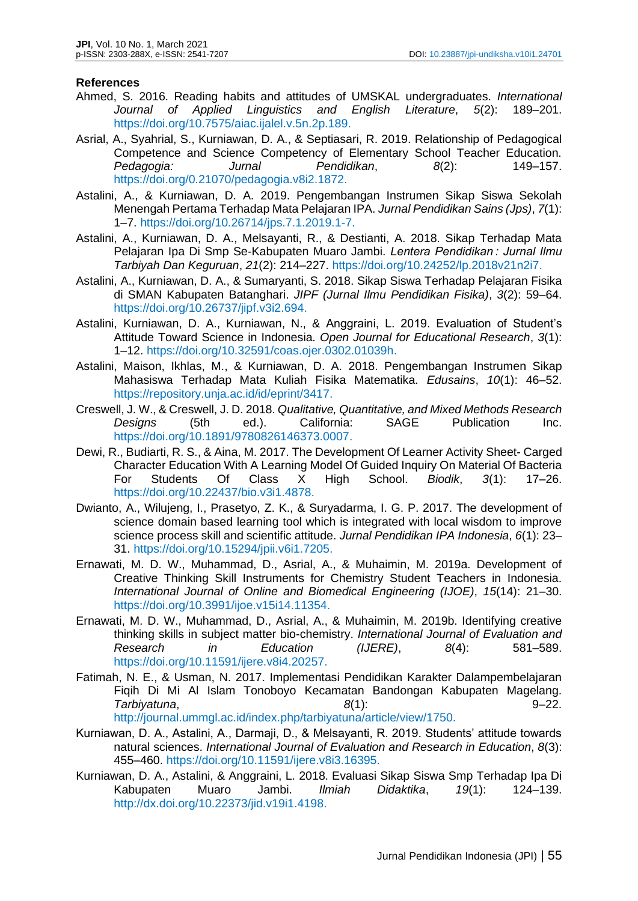## **References**

- Ahmed, S. 2016. Reading habits and attitudes of UMSKAL undergraduates. *International Journal of Applied Linguistics and English Literature*, *5*(2): 189–201. https://doi.org/10.7575/aiac.ijalel.v.5n.2p.189.
- Asrial, A., Syahrial, S., Kurniawan, D. A., & Septiasari, R. 2019. Relationship of Pedagogical Competence and Science Competency of Elementary School Teacher Education. *Pedagogia: Jurnal Pendidikan*, *8*(2): 149–157. https://doi.org/0.21070/pedagogia.v8i2.1872.
- Astalini, A., & Kurniawan, D. A. 2019. Pengembangan Instrumen Sikap Siswa Sekolah Menengah Pertama Terhadap Mata Pelajaran IPA. *Jurnal Pendidikan Sains (Jps)*, *7*(1): 1–7. https://doi.org/10.26714/jps.7.1.2019.1-7.
- Astalini, A., Kurniawan, D. A., Melsayanti, R., & Destianti, A. 2018. Sikap Terhadap Mata Pelajaran Ipa Di Smp Se-Kabupaten Muaro Jambi. *Lentera Pendidikan : Jurnal Ilmu Tarbiyah Dan Keguruan*, *21*(2): 214–227. https://doi.org/10.24252/lp.2018v21n2i7.
- Astalini, A., Kurniawan, D. A., & Sumaryanti, S. 2018. Sikap Siswa Terhadap Pelajaran Fisika di SMAN Kabupaten Batanghari. *JIPF (Jurnal Ilmu Pendidikan Fisika)*, *3*(2): 59–64. https://doi.org/10.26737/jipf.v3i2.694.
- Astalini, Kurniawan, D. A., Kurniawan, N., & Anggraini, L. 2019. Evaluation of Student's Attitude Toward Science in Indonesia. *Open Journal for Educational Research*, *3*(1): 1–12. https://doi.org/10.32591/coas.ojer.0302.01039h.
- Astalini, Maison, Ikhlas, M., & Kurniawan, D. A. 2018. Pengembangan Instrumen Sikap Mahasiswa Terhadap Mata Kuliah Fisika Matematika. *Edusains*, *10*(1): 46–52. https://repository.unja.ac.id/id/eprint/3417.
- Creswell, J. W., & Creswell, J. D. 2018. *Qualitative, Quantitative, and Mixed Methods Research Designs* (5th ed.). California: SAGE Publication Inc. https://doi.org/10.1891/9780826146373.0007.
- Dewi, R., Budiarti, R. S., & Aina, M. 2017. The Development Of Learner Activity Sheet- Carged Character Education With A Learning Model Of Guided Inquiry On Material Of Bacteria For Students Of Class X High School. *Biodik*, *3*(1): 17–26. https://doi.org/10.22437/bio.v3i1.4878.
- Dwianto, A., Wilujeng, I., Prasetyo, Z. K., & Suryadarma, I. G. P. 2017. The development of science domain based learning tool which is integrated with local wisdom to improve science process skill and scientific attitude. *Jurnal Pendidikan IPA Indonesia*, *6*(1): 23– 31. https://doi.org/10.15294/jpii.v6i1.7205.
- Ernawati, M. D. W., Muhammad, D., Asrial, A., & Muhaimin, M. 2019a. Development of Creative Thinking Skill Instruments for Chemistry Student Teachers in Indonesia. *International Journal of Online and Biomedical Engineering (IJOE)*, *15*(14): 21–30. https://doi.org/10.3991/ijoe.v15i14.11354.
- Ernawati, M. D. W., Muhammad, D., Asrial, A., & Muhaimin, M. 2019b. Identifying creative thinking skills in subject matter bio-chemistry. *International Journal of Evaluation and Research in Education (IJERE)*, *8*(4): 581–589. https://doi.org/10.11591/ijere.v8i4.20257.
- Fatimah, N. E., & Usman, N. 2017. Implementasi Pendidikan Karakter Dalampembelajaran Fiqih Di Mi Al Islam Tonoboyo Kecamatan Bandongan Kabupaten Magelang. *Tarbiyatuna*, *8*(1): 9–22.
	- http://journal.ummgl.ac.id/index.php/tarbiyatuna/article/view/1750.
- Kurniawan, D. A., Astalini, A., Darmaji, D., & Melsayanti, R. 2019. Students' attitude towards natural sciences. *International Journal of Evaluation and Research in Education*, *8*(3): 455–460. https://doi.org/10.11591/ijere.v8i3.16395.
- Kurniawan, D. A., Astalini, & Anggraini, L. 2018. Evaluasi Sikap Siswa Smp Terhadap Ipa Di Kabupaten Muaro Jambi. *Ilmiah Didaktika*, *19*(1): 124–139. http://dx.doi.org/10.22373/jid.v19i1.4198.